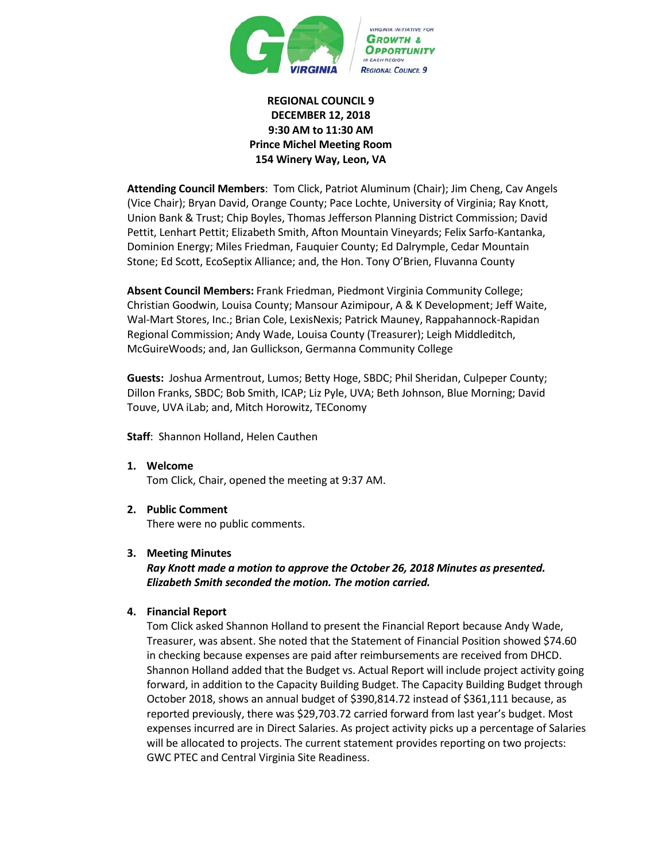

## **REGIONAL COUNCIL 9 DECEMBER 12, 2018 9:30 AM to 11:30 AM Prince Michel Meeting Room 154 Winery Way, Leon, VA**

**Attending Council Members**: Tom Click, Patriot Aluminum (Chair); Jim Cheng, Cav Angels (Vice Chair); Bryan David, Orange County; Pace Lochte, University of Virginia; Ray Knott, Union Bank & Trust; Chip Boyles, Thomas Jefferson Planning District Commission; David Pettit, Lenhart Pettit; Elizabeth Smith, Afton Mountain Vineyards; Felix Sarfo-Kantanka, Dominion Energy; Miles Friedman, Fauquier County; Ed Dalrymple, Cedar Mountain Stone; Ed Scott, EcoSeptix Alliance; and, the Hon. Tony O'Brien, Fluvanna County

**Absent Council Members:** Frank Friedman, Piedmont Virginia Community College; Christian Goodwin, Louisa County; Mansour Azimipour, A & K Development; Jeff Waite, Wal-Mart Stores, Inc.; Brian Cole, LexisNexis; Patrick Mauney, Rappahannock-Rapidan Regional Commission; Andy Wade, Louisa County (Treasurer); Leigh Middleditch, McGuireWoods; and, Jan Gullickson, Germanna Community College

**Guests:** Joshua Armentrout, Lumos; Betty Hoge, SBDC; Phil Sheridan, Culpeper County; Dillon Franks, SBDC; Bob Smith, ICAP; Liz Pyle, UVA; Beth Johnson, Blue Morning; David Touve, UVA iLab; and, Mitch Horowitz, TEConomy

**Staff**: Shannon Holland, Helen Cauthen

- **1. Welcome** Tom Click, Chair, opened the meeting at 9:37 AM.
- **2. Public Comment**

There were no public comments.

## **3. Meeting Minutes**

*Ray Knott made a motion to approve the October 26, 2018 Minutes as presented. Elizabeth Smith seconded the motion. The motion carried.*

## **4. Financial Report**

Tom Click asked Shannon Holland to present the Financial Report because Andy Wade, Treasurer, was absent. She noted that the Statement of Financial Position showed \$74.60 in checking because expenses are paid after reimbursements are received from DHCD. Shannon Holland added that the Budget vs. Actual Report will include project activity going forward, in addition to the Capacity Building Budget. The Capacity Building Budget through October 2018, shows an annual budget of \$390,814.72 instead of \$361,111 because, as reported previously, there was \$29,703.72 carried forward from last year's budget. Most expenses incurred are in Direct Salaries. As project activity picks up a percentage of Salaries will be allocated to projects. The current statement provides reporting on two projects: GWC PTEC and Central Virginia Site Readiness.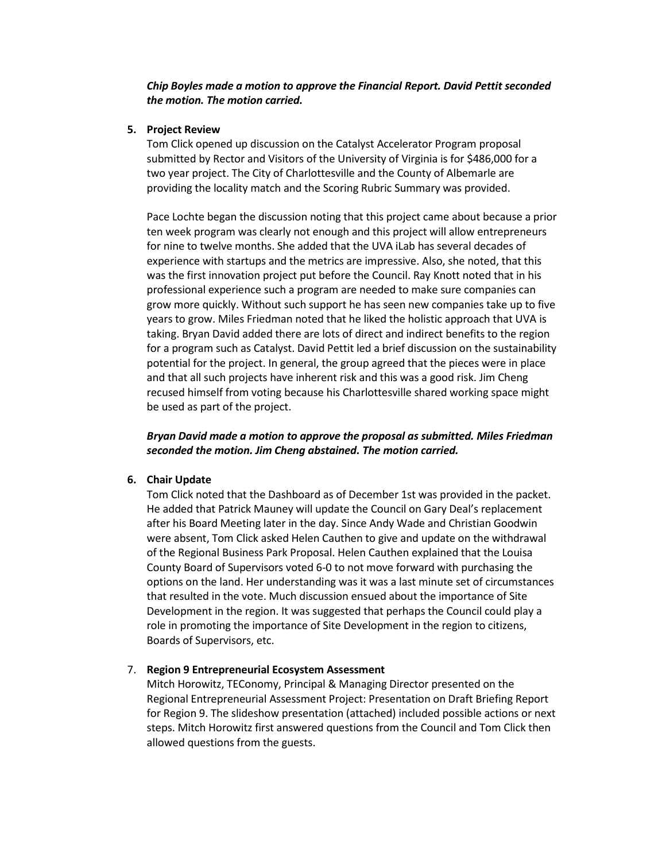*Chip Boyles made a motion to approve the Financial Report. David Pettit seconded the motion. The motion carried.*

### **5. Project Review**

Tom Click opened up discussion on the Catalyst Accelerator Program proposal submitted by Rector and Visitors of the University of Virginia is for \$486,000 for a two year project. The City of Charlottesville and the County of Albemarle are providing the locality match and the Scoring Rubric Summary was provided.

Pace Lochte began the discussion noting that this project came about because a prior ten week program was clearly not enough and this project will allow entrepreneurs for nine to twelve months. She added that the UVA iLab has several decades of experience with startups and the metrics are impressive. Also, she noted, that this was the first innovation project put before the Council. Ray Knott noted that in his professional experience such a program are needed to make sure companies can grow more quickly. Without such support he has seen new companies take up to five years to grow. Miles Friedman noted that he liked the holistic approach that UVA is taking. Bryan David added there are lots of direct and indirect benefits to the region for a program such as Catalyst. David Pettit led a brief discussion on the sustainability potential for the project. In general, the group agreed that the pieces were in place and that all such projects have inherent risk and this was a good risk. Jim Cheng recused himself from voting because his Charlottesville shared working space might be used as part of the project.

*Bryan David made a motion to approve the proposal as submitted. Miles Friedman seconded the motion. Jim Cheng abstained. The motion carried.*

## **6. Chair Update**

Tom Click noted that the Dashboard as of December 1st was provided in the packet. He added that Patrick Mauney will update the Council on Gary Deal's replacement after his Board Meeting later in the day. Since Andy Wade and Christian Goodwin were absent, Tom Click asked Helen Cauthen to give and update on the withdrawal of the Regional Business Park Proposal. Helen Cauthen explained that the Louisa County Board of Supervisors voted 6-0 to not move forward with purchasing the options on the land. Her understanding was it was a last minute set of circumstances that resulted in the vote. Much discussion ensued about the importance of Site Development in the region. It was suggested that perhaps the Council could play a role in promoting the importance of Site Development in the region to citizens, Boards of Supervisors, etc.

### 7. **Region 9 Entrepreneurial Ecosystem Assessment**

Mitch Horowitz, TEConomy, Principal & Managing Director presented on the Regional Entrepreneurial Assessment Project: Presentation on Draft Briefing Report for Region 9. The slideshow presentation (attached) included possible actions or next steps. Mitch Horowitz first answered questions from the Council and Tom Click then allowed questions from the guests.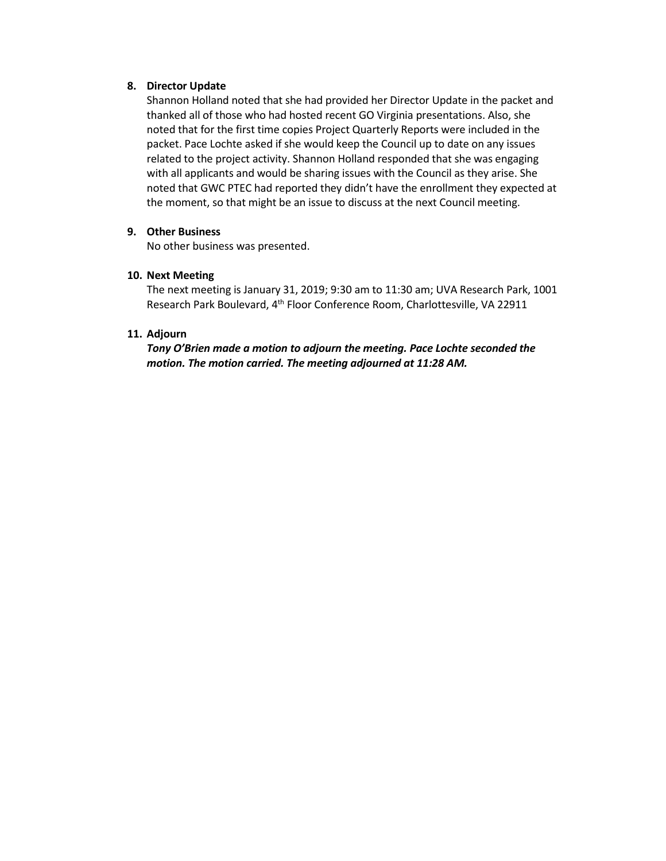### **8. Director Update**

Shannon Holland noted that she had provided her Director Update in the packet and thanked all of those who had hosted recent GO Virginia presentations. Also, she noted that for the first time copies Project Quarterly Reports were included in the packet. Pace Lochte asked if she would keep the Council up to date on any issues related to the project activity. Shannon Holland responded that she was engaging with all applicants and would be sharing issues with the Council as they arise. She noted that GWC PTEC had reported they didn't have the enrollment they expected at the moment, so that might be an issue to discuss at the next Council meeting.

### **9. Other Business**

No other business was presented.

### **10. Next Meeting**

The next meeting is January 31, 2019; 9:30 am to 11:30 am; UVA Research Park, 1001 Research Park Boulevard, 4<sup>th</sup> Floor Conference Room, Charlottesville, VA 22911

### **11. Adjourn**

*Tony O'Brien made a motion to adjourn the meeting. Pace Lochte seconded the motion. The motion carried. The meeting adjourned at 11:28 AM.*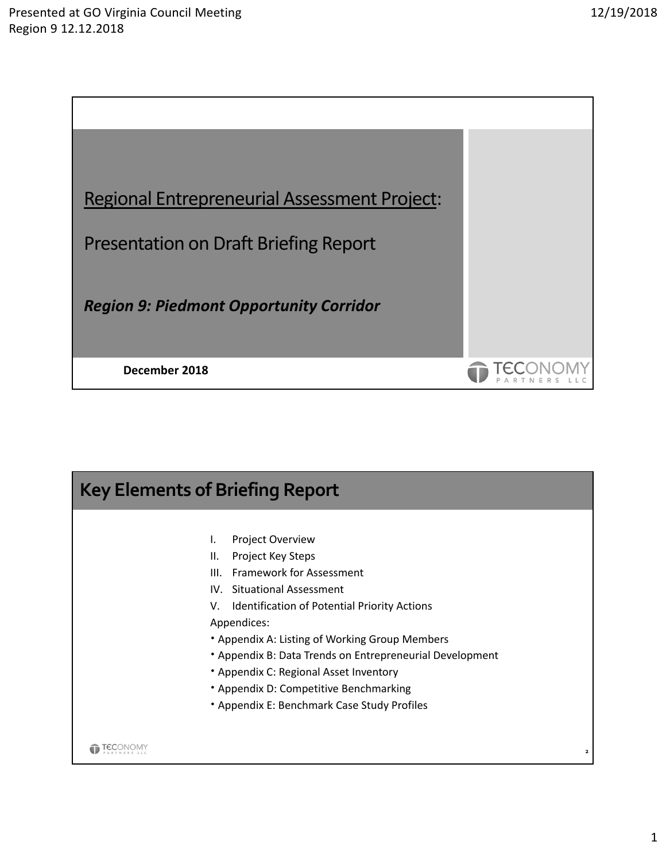

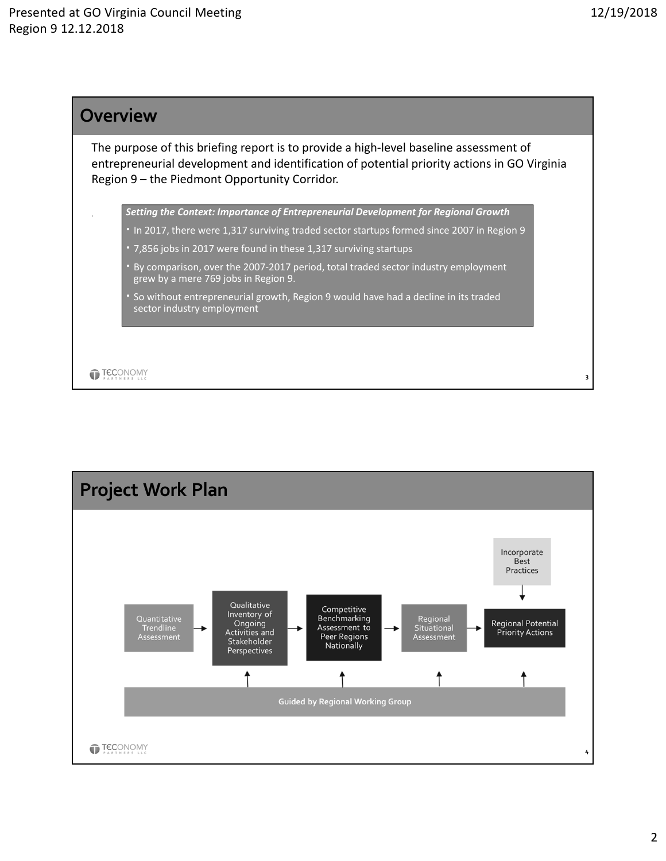

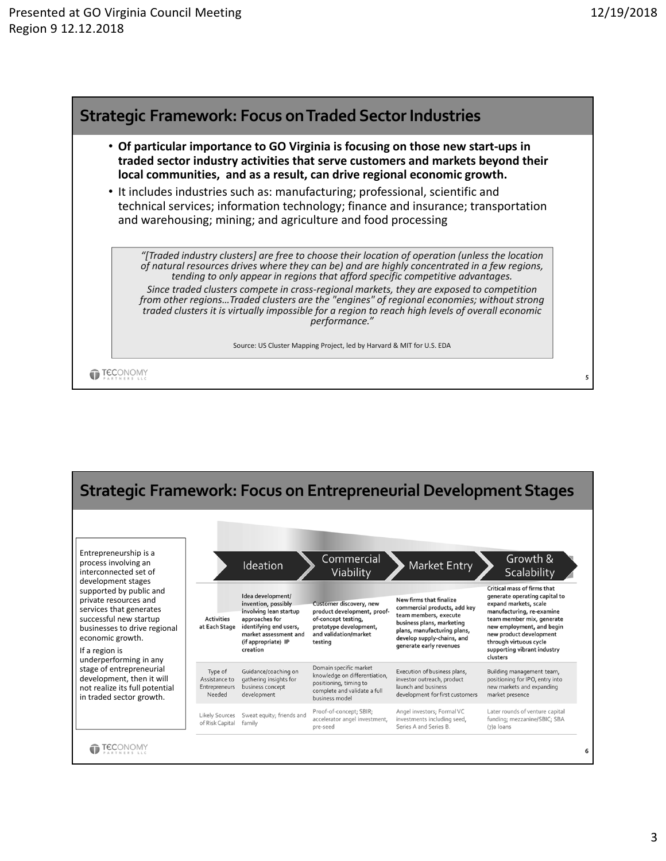



## 3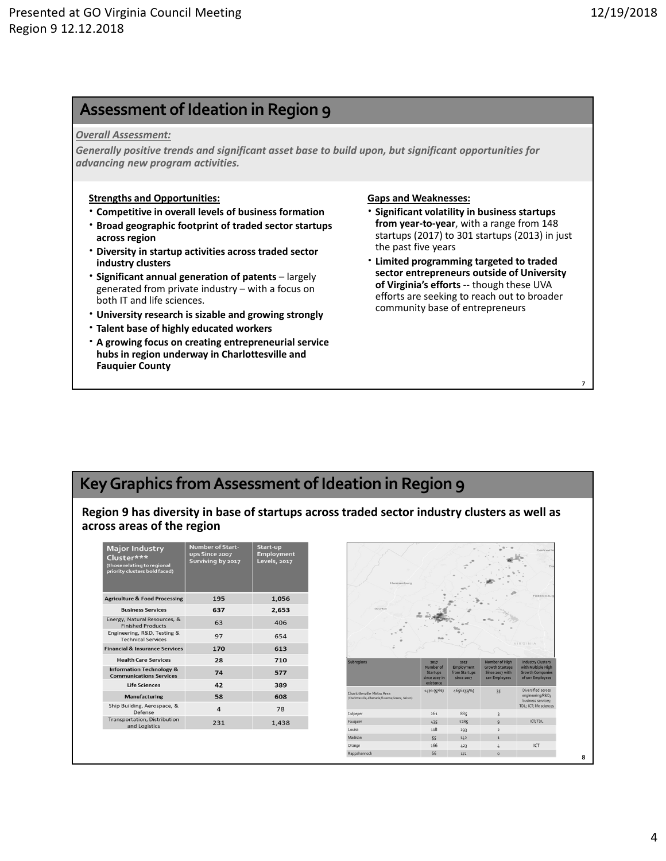**7**

# **Assessment of Ideation in Region 9**

#### *Overall Assessment:*

*Generally positive trends and significant asset base to build upon, but significant opportunities for advancing new program activities.*

#### **Strengths and Opportunities:**

- **Competitive in overall levels of business formation**
- **Broad geographic footprint of traded sector startups across region**
- **Diversity in startup activities across traded sector industry clusters**
- **Significant annual generation of patents**  largely generated from private industry – with a focus on both IT and life sciences.
- **University research is sizable and growing strongly**
- **Talent base of highly educated workers**
- **A growing focus on creating entrepreneurial service hubs in region underway in Charlottesville and Fauquier County**

### **Gaps and Weaknesses:**

- **Significant volatility in business startups from year‐to‐year**, with a range from 148 startups (2017) to 301 startups (2013) in just the past five years
- **Limited programming targeted to traded sector entrepreneurs outside of University of Virginia's efforts** ‐‐ though these UVA efforts are seeking to reach out to broader community base of entrepreneurs

# **KeyGraphics fromAssessment of Ideation in Region 9**

**Region 9 has diversity in base of startups across traded sector industry clusters as well as across areas of the region**

| <b>Major Industry</b><br>Cluster***<br>(those relating to regional<br>priority clusters bold faced) | <b>Number of Start-</b><br>ups Since 2007<br>Surviving by 2017 | Start-up<br><b>Employment</b><br><b>Levels</b> , 2017 |
|-----------------------------------------------------------------------------------------------------|----------------------------------------------------------------|-------------------------------------------------------|
| <b>Agriculture &amp; Food Processing</b>                                                            | 195                                                            | 1,056                                                 |
| <b>Business Services</b>                                                                            | 637                                                            | 2,653                                                 |
| Energy, Natural Resources, &<br><b>Finished Products</b>                                            | 63                                                             | 406                                                   |
| Engineering, R&D, Testing &<br><b>Technical Services</b>                                            | 97                                                             | 654                                                   |
| <b>Financial &amp; Insurance Services</b>                                                           | 170                                                            | 613                                                   |
| <b>Health Care Services</b>                                                                         | 28                                                             | 710                                                   |
| <b>Information Technology &amp;</b><br><b>Communications Services</b>                               | 74                                                             | 577                                                   |
| <b>Life Sciences</b>                                                                                | 42                                                             | 389                                                   |
| <b>Manufacturing</b>                                                                                | 58                                                             | 608                                                   |
| Ship Building, Aerospace, &<br>Defense                                                              | $\overline{a}$                                                 | 78                                                    |
| <b>Transportation, Distribution</b><br>and Logistics                                                | 231                                                            | 1,438                                                 |
|                                                                                                     |                                                                |                                                       |

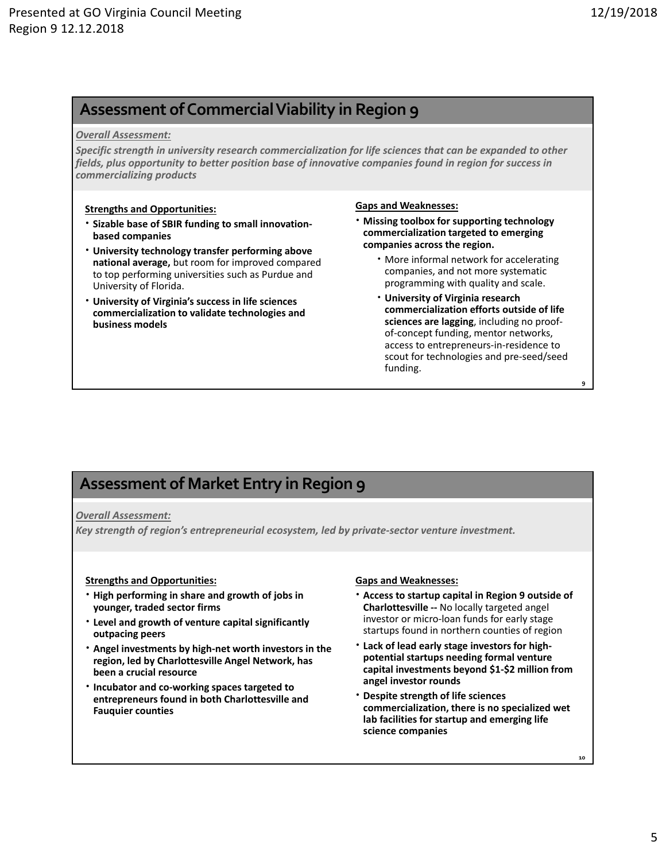**9**

**10**

## **Assessment ofCommercialViability in Region 9**

#### *Overall Assessment:*

*Specific strength in university research commercialization for life sciences that can be expanded to other fields, plus opportunity to better position base of innovative companies found in region for success in commercializing products*

#### **Strengths and Opportunities:**

- **Sizable base of SBIR funding to small innovation‐ based companies**
- **University technology transfer performing above national average,** but room for improved compared to top performing universities such as Purdue and University of Florida.
- **University of Virginia's success in life sciences commercialization to validate technologies and business models**

#### **Gaps and Weaknesses:**

- **Missing toolbox for supporting technology commercialization targeted to emerging companies across the region.** 
	- More informal network for accelerating companies, and not more systematic programming with quality and scale.
	- **University of Virginia research commercialization efforts outside of life sciences are lagging**, including no proof‐ of‐concept funding, mentor networks, access to entrepreneurs‐in‐residence to scout for technologies and pre‐seed/seed funding.

# **Assessment of Market Entry in Region 9**

### *Overall Assessment:*

*Key strength of region's entrepreneurial ecosystem, led by private‐sector venture investment.* 

### **Strengths and Opportunities:**

- **High performing in share and growth of jobs in younger, traded sector firms**
- **Level and growth of venture capital significantly outpacing peers**
- **Angel investments by high‐net worth investors in the region, led by Charlottesville Angel Network, has been a crucial resource**
- **Incubator and co‐working spaces targeted to entrepreneurs found in both Charlottesville and Fauquier counties**

### **Gaps and Weaknesses:**

- **Access to startup capital in Region 9 outside of Charlottesville ‐‐** No locally targeted angel investor or micro‐loan funds for early stage startups found in northern counties of region
- **Lack of lead early stage investors for high‐ potential startups needing formal venture capital investments beyond \$1‐\$2 million from angel investor rounds**
- **Despite strength of life sciences commercialization, there is no specialized wet lab facilities for startup and emerging life science companies**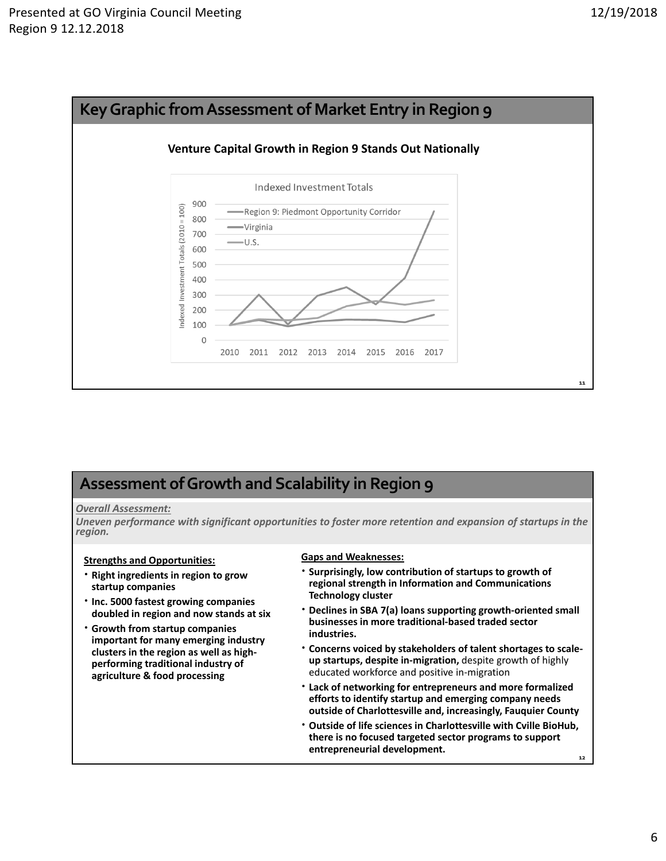

# **Assessment ofGrowth and Scalability in Region 9**

### *Overall Assessment:*

*Uneven performance with significant opportunities to foster more retention and expansion of startups in the region.* 

### **Strengths and Opportunities:**

- **Right ingredients in region to grow startup companies**
- **Inc. 5000 fastest growing companies doubled in region and now stands at six**
- **Growth from startup companies important for many emerging industry clusters in the region as well as high‐ performing traditional industry of agriculture & food processing**

### **Gaps and Weaknesses:**

- **Surprisingly, low contribution of startups to growth of regional strength in Information and Communications Technology cluster**
- **Declines in SBA 7(a) loans supporting growth‐oriented small businesses in more traditional‐based traded sector industries.**
- **Concerns voiced by stakeholders of talent shortages to scale‐ up startups, despite in‐migration,** despite growth of highly educated workforce and positive in‐migration
- **Lack of networking for entrepreneurs and more formalized efforts to identify startup and emerging company needs outside of Charlottesville and, increasingly, Fauquier County**
- **12 Outside of life sciences in Charlottesville with Cville BioHub, there is no focused targeted sector programs to support entrepreneurial development.**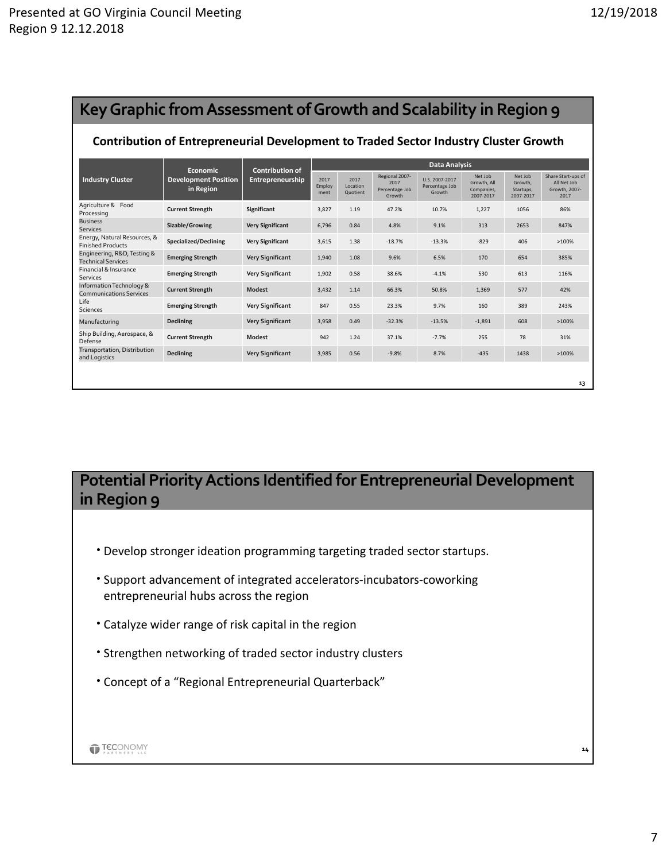| Key Graphic from Assessment of Growth and Scalability in Region 9                    |                                                             |                                            |                        |                              |                                                    |                                            |                                                   |                                              |                                                            |  |  |
|--------------------------------------------------------------------------------------|-------------------------------------------------------------|--------------------------------------------|------------------------|------------------------------|----------------------------------------------------|--------------------------------------------|---------------------------------------------------|----------------------------------------------|------------------------------------------------------------|--|--|
| Contribution of Entrepreneurial Development to Traded Sector Industry Cluster Growth |                                                             |                                            |                        |                              |                                                    |                                            |                                                   |                                              |                                                            |  |  |
| <b>Industry Cluster</b>                                                              | <b>Economic</b><br><b>Development Position</b><br>in Region | <b>Contribution of</b><br>Entrepreneurship | <b>Data Analysis</b>   |                              |                                                    |                                            |                                                   |                                              |                                                            |  |  |
|                                                                                      |                                                             |                                            | 2017<br>Employ<br>ment | 2017<br>Location<br>Quotient | Regional 2007-<br>2017<br>Percentage Job<br>Growth | U.S. 2007-2017<br>Percentage Job<br>Growth | Net Job<br>Growth, All<br>Companies,<br>2007-2017 | Net Job<br>Growth.<br>Startups,<br>2007-2017 | Share Start-ups of<br>All Net Job<br>Growth, 2007-<br>2017 |  |  |
| Agriculture & Food<br>Processing                                                     | <b>Current Strength</b>                                     | Significant                                | 3,827                  | 1.19                         | 47.2%                                              | 10.7%                                      | 1,227                                             | 1056                                         | 86%                                                        |  |  |
| <b>Business</b><br><b>Services</b>                                                   | Sizable/Growing                                             | <b>Very Significant</b>                    | 6.796                  | 0.84                         | 4.8%                                               | 9.1%                                       | 313                                               | 2653                                         | 847%                                                       |  |  |
| Energy, Natural Resources, &<br><b>Finished Products</b>                             | Specialized/Declining                                       | <b>Very Significant</b>                    | 3,615                  | 1.38                         | $-18.7%$                                           | $-13.3%$                                   | $-829$                                            | 406                                          | >100%                                                      |  |  |
| Engineering, R&D, Testing &<br><b>Technical Services</b>                             | <b>Emerging Strength</b>                                    | <b>Very Significant</b>                    | 1,940                  | 1.08                         | 9.6%                                               | 6.5%                                       | 170                                               | 654                                          | 385%                                                       |  |  |
| Financial & Insurance<br>Services                                                    | <b>Emerging Strength</b>                                    | <b>Very Significant</b>                    | 1,902                  | 0.58                         | 38.6%                                              | $-4.1%$                                    | 530                                               | 613                                          | 116%                                                       |  |  |
| Information Technology &<br><b>Communications Services</b>                           | <b>Current Strength</b>                                     | Modest                                     | 3.432                  | 1.14                         | 66.3%                                              | 50.8%                                      | 1.369                                             | 577                                          | 42%                                                        |  |  |
| Life<br><b>Sciences</b>                                                              | <b>Emerging Strength</b>                                    | <b>Very Significant</b>                    | 847                    | 0.55                         | 23.3%                                              | 9.7%                                       | 160                                               | 389                                          | 243%                                                       |  |  |
| Manufacturing                                                                        | <b>Declining</b>                                            | <b>Very Significant</b>                    | 3,958                  | 0.49                         | $-32.3%$                                           | $-13.5%$                                   | $-1,891$                                          | 608                                          | >100%                                                      |  |  |
| Ship Building, Aerospace, &<br>Defense                                               | <b>Current Strength</b>                                     | Modest                                     | 942                    | 1.24                         | 37.1%                                              | $-7.7%$                                    | 255                                               | 78                                           | 31%                                                        |  |  |
| Transportation, Distribution<br>and Logistics                                        | <b>Declining</b>                                            | <b>Very Significant</b>                    | 3,985                  | 0.56                         | $-9.8%$                                            | 8.7%                                       | $-435$                                            | 1438                                         | >100%                                                      |  |  |
|                                                                                      |                                                             |                                            |                        |                              |                                                    |                                            |                                                   |                                              | 13                                                         |  |  |

# **Potential Priority Actions Identified for Entrepreneurial Development in Region 9**

- Develop stronger ideation programming targeting traded sector startups.
- Support advancement of integrated accelerators‐incubators‐coworking entrepreneurial hubs across the region
- Catalyze wider range of risk capital in the region
- Strengthen networking of traded sector industry clusters
- Concept of a "Regional Entrepreneurial Quarterback"

**14**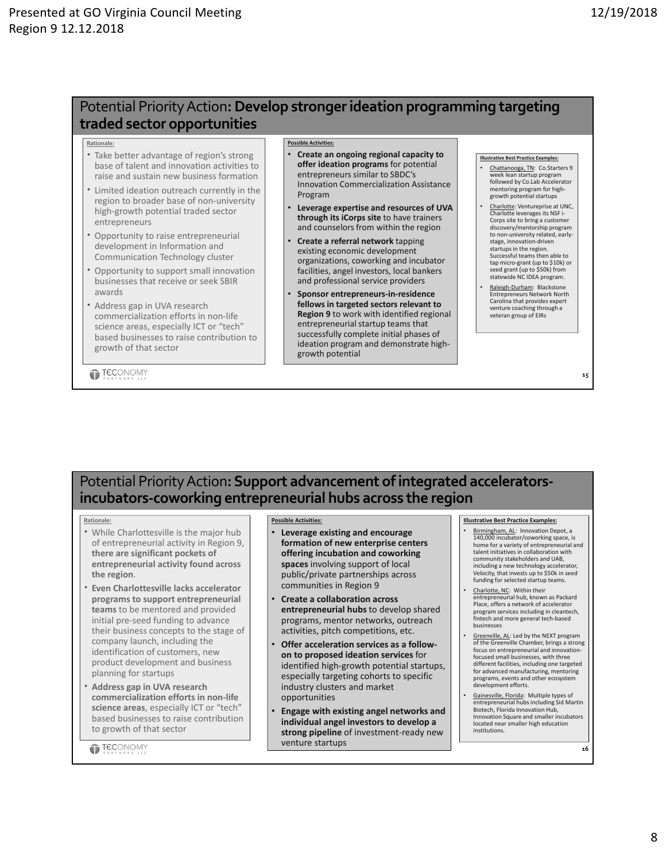## Potential PriorityAction**:Develop strongerideation programming targeting traded sector opportunities**

#### **Rationale:**

- Take better advantage of region's strong base of talent and innovation activities to raise and sustain new business formation
- Limited ideation outreach currently in the region to broader base of non‐university high‐growth potential traded sector entrepreneurs
- Opportunity to raise entrepreneurial development in Information and Communication Technology cluster
- Opportunity to support small innovation businesses that receive or seek SBIR awards
- Address gap in UVA research commercialization efforts in non‐life science areas, especially ICT or "tech" based businesses to raise contribution to growth of that sector

**TECONOMY** 

#### **Possible Activitie**

- **Create an ongoing regional capacity to offer ideation programs** for potential entrepreneurs similar to SBDC's Innovation Commercialization Assistance Program
- **Leverage expertise and resources of UVA through its iCorps site** to have trainers and counselors from within the region
- **Create a referral network** tapping existing economic development organizations, coworking and incubator facilities, angel investors, local bankers and professional service providers
- **Sponsor entrepreneurs‐in‐residence fellows in targeted sectors relevant to Region 9** to work with identified regional entrepreneurial startup teams that successfully complete initial phases of ideation program and demonstrate high‐ growth potential

#### **Illustrative Best Practice Examples:**

- Chattanooga, TN: Co.Starters 9 week lean startup program followed by Co.Lab Accelerator mentoring program for high‐ growth potential startups
- Charlotte: Ventureprise at UNC, Charlotte leverages its NSF i Corps site to bring a custom discovery/mentorship program to non‐university related, early‐ stage, innovation‐driven startups in the region. Successful teams then able to tap micro‐grant (up to \$10k) or seed grant (up to \$50k) from statewide NC IDEA program.
- Raleigh‐Durham: Blackstone Entrepreneurs Network North Carolina that provides expert venture coaching through a veteran group of EIRs

**15**

## **Potential Priority Action: Support advancement of integrated acceleratorsincubators‐coworking entrepreneurial hubs across the region**

#### **Rationale:**

- While Charlottesville is the major hub of entrepreneurial activity in Region 9, **there are significant pockets of entrepreneurial activity found across the region**.
- **Even Charlottesville lacks accelerator programs to support entrepreneurial teams** to be mentored and provided initial pre‐seed funding to advance their business concepts to the stage of company launch, including the identification of customers, new product development and business planning for startups
- **Address gap in UVA research commercialization efforts in non‐life science areas**, especially ICT or "tech" based businesses to raise contribution to growth of that sector

**TECONOMY** 

#### **Possible Activities:**

- **Leverage existing and encourage formation of new enterprise centers offering incubation and coworking spaces** involving support of local public/private partnerships across communities in Region 9
- **Create a collaboration across entrepreneurial hubs** to develop shared programs, mentor networks, outreach activities, pitch competitions, etc.
- **Offer acceleration services as a follow‐ on to proposed ideation services** for identified high‐growth potential startups, especially targeting cohorts to specific industry clusters and market opportunities
- **Engage with existing angel networks and individual angel investors to develop a strong pipeline** of investment‐ready new venture startups

#### **Illustrative Best Practice Examples:**

- Birmingham, AL: Innovation Depot, a 140,000 incubator/coworking space, is home for a variety of entrepreneurial and talent initiatives in collaboration with community stakeholders and UAB, including a new technology accelerator, Velocity, that invests up to \$50k in seed funding for selected startup teams.
- Charlotte, NC: Within their entrepreneurial hub, known as Packard Place, offers a network of accelerator program services including in cleantech, fintech and more general tech‐based businesses
- Greenville, AL: Led by the NEXT program of the Greenville Chamber, brings a strong focus on entrepreneurial and innovation‐ focused small businesses, with three different facilities, including one targeted for advanced manufacturing, mentoring programs, events and other ecosystem development efforts.
- Gainesville, Florida: Multiple types of entrepreneurial hubs including Sid Martin Biotech, Florida Innovation Hub, Innovation Square and smaller incubators located near smaller high education institutions.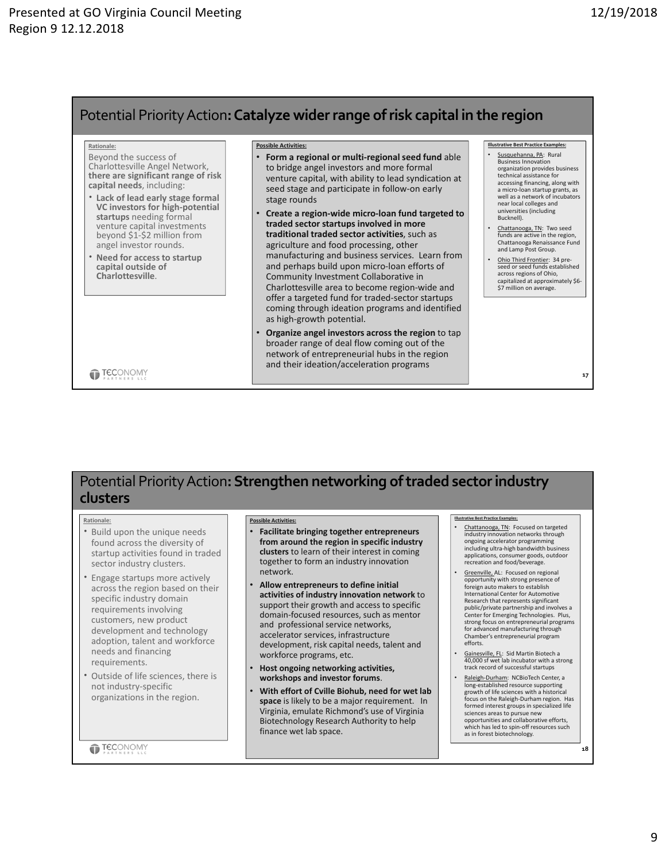## Potential PriorityAction**:Catalyze widerrange ofrisk capital in the region**

#### **Rationale:**

- Beyond the success of Charlottesville Angel Network, **there are significant range of risk capital needs**, including:
- **Lack of lead early stage formal VC investors for high‐potential startups** needing formal venture capital investments beyond \$1‐\$2 million from angel investor rounds.
- **Need for access to startup capital outside of Charlottesville**.

#### **Possible Activities:**

- **Form a regional or multi‐regional seed fund** able to bridge angel investors and more formal venture capital, with ability to lead syndication at seed stage and participate in follow‐on early stage rounds
- **Create a region‐wide micro‐loan fund targeted to traded sector startups involved in more traditional traded sector activities**, such as agriculture and food processing, other manufacturing and business services. Learn from and perhaps build upon micro‐loan efforts of Community Investment Collaborative in Charlottesville area to become region‐wide and offer a targeted fund for traded‐sector startups coming through ideation programs and identified as high‐growth potential.
- **Organize angel investors across the region** to tap broader range of deal flow coming out of the network of entrepreneurial hubs in the region and their ideation/acceleration programs

#### **Illustrative Best Practice Examples:** Susquehanna, PA: Rural

- Business Innovation organization provides business technical assistance for accessing financing, along with a micro‐loan startup grants, as well as a network of incubators near local colleges and universities (including Bucknell).
- Chattanooga, TN: Two seed funds are active in the region, Chattanooga Renaissance Fund and Lamp Post Group.
- Ohio Third Frontier: 34 pre‐ seed or seed funds established across regions of Ohio, capitalized at approximately \$6-\$7 million on average.

**17**

**18**

**TECONOMY** 

## **Potential Priority Action: Strengthen networking of traded sector industry clusters**

#### **Rationale:**

- Build upon the unique needs found across the diversity of startup activities found in traded sector industry clusters.
- Engage startups more actively across the region based on their specific industry domain requirements involving customers, new product development and technology adoption, talent and workforce needs and financing requirements.
- Outside of life sciences, there is not industry‐specific organizations in the region.

**TECONOMY** 

#### **Possible Activities:**

- **Facilitate bringing together entrepreneurs from around the region in specific industry clusters** to learn of their interest in coming together to form an industry innovation network.
- **Allow entrepreneurs to define initial activities of industry innovation network** to support their growth and access to specific domain‐focused resources, such as mentor and professional service networks, accelerator services, infrastructure development, risk capital needs, talent and workforce programs, etc.
- **Host ongoing networking activities, workshops and investor forums**.
- **With effort of Cville Biohub, need for wet lab space** is likely to be a major requirement. In Virginia, emulate Richmond's use of Virginia Biotechnology Research Authority to help finance wet lab space.

#### **Illustrative Best Practice Examples:**

- Chattanooga, TN: Focused on targeted industry innovation networks through ongoing accelerator programming including ultra‐high bandwidth business applications, consumer goods, outdoor recreation and food/beverage.
- Greenville, AL: Focused on regional opportunity with strong presence of foreign auto makers to establish International Center for Automotive Research that represents significant public/private partnership and involves a Center for Emerging Technologies. Plus, strong focus on entrepreneurial programs for advanced manufacturing through Chamber's entrepreneurial program efforts.
- Gainesville, FL: Sid Martin Biotech a 40,000 sf wet lab incubator with a strong track record of successful startups
- Raleigh‐Durham: NCBioTech Center, a long‐established resource supporting growth of life sciences with a historical focus on the Raleigh‐Durham region. Has formed interest groups in specialized life sciences areas to pursue new opportunities and collaborative efforts, which has led to spin‐off resources such as in forest biotechnology.